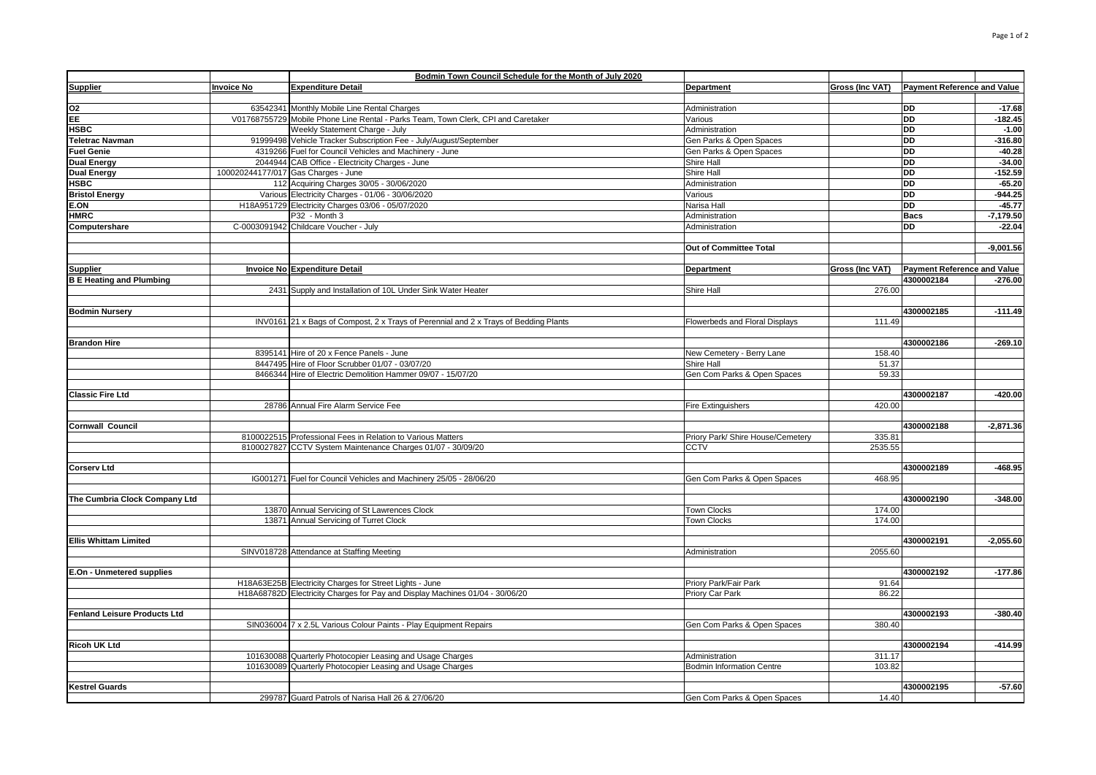|                                     |                   | Bodmin Town Council Schedule for the Month of July 2020                              |                                   |                        |                                    |             |
|-------------------------------------|-------------------|--------------------------------------------------------------------------------------|-----------------------------------|------------------------|------------------------------------|-------------|
| <b>Supplier</b>                     | <b>Invoice No</b> | <b>Expenditure Detail</b>                                                            | Department                        | Gross (Inc VAT)        | <b>Payment Reference and Value</b> |             |
|                                     |                   |                                                                                      |                                   |                        |                                    |             |
| O <sub>2</sub>                      |                   | 63542341 Monthly Mobile Line Rental Charges                                          | Administration                    |                        | DD                                 | $-17.68$    |
| EE                                  |                   | V01768755729 Mobile Phone Line Rental - Parks Team, Town Clerk, CPI and Caretaker    | Various                           |                        | <b>DD</b>                          | $-182.45$   |
| <b>HSBC</b>                         |                   | Weekly Statement Charge - July                                                       | Administration                    |                        | <b>DD</b>                          | $-1.00$     |
| Teletrac Navman                     |                   | 91999498 Vehicle Tracker Subscription Fee - July/August/September                    | Gen Parks & Open Spaces           |                        | <b>DD</b>                          | $-316.80$   |
| <b>Fuel Genie</b>                   |                   | 4319266 Fuel for Council Vehicles and Machinery - June                               | Gen Parks & Open Spaces           |                        | <b>DD</b>                          | $-40.28$    |
| <b>Dual Energy</b>                  |                   | 2044944 CAB Office - Electricity Charges - June                                      | Shire Hall                        |                        | <b>DD</b>                          | $-34.00$    |
| <b>Dual Energy</b>                  |                   | 100020244177/017 Gas Charges - June                                                  | Shire Hall                        |                        | <b>DD</b>                          | $-152.59$   |
| <b>HSBC</b>                         |                   | 112 Acquiring Charges 30/05 - 30/06/2020                                             | Administration                    |                        | <b>DD</b>                          | $-65.20$    |
| <b>Bristol Energy</b>               |                   | Various Electricity Charges - 01/06 - 30/06/2020                                     | Various                           |                        | <b>DD</b>                          | $-944.25$   |
| E.ON                                |                   | H18A951729 Electricity Charges 03/06 - 05/07/2020                                    | Narisa Hall                       |                        | <b>DD</b>                          | $-45.77$    |
| <b>HMRC</b>                         |                   | P32 - Month 3                                                                        | Administration                    |                        | <b>Bacs</b>                        | $-7,179.50$ |
| Computershare                       |                   | C-0003091942 Childcare Voucher - July                                                | Administration                    |                        | <b>DD</b>                          | $-22.04$    |
|                                     |                   |                                                                                      |                                   |                        |                                    |             |
|                                     |                   |                                                                                      | Out of Committee Total            |                        |                                    | $-9,001.56$ |
|                                     |                   |                                                                                      |                                   |                        |                                    |             |
| <b>Supplier</b>                     |                   | <b>Invoice No Expenditure Detail</b>                                                 | <b>Department</b>                 | <b>Gross (Inc VAT)</b> | <b>Payment Reference and Value</b> |             |
| <b>B E Heating and Plumbing</b>     |                   |                                                                                      |                                   |                        | 4300002184                         | $-276.00$   |
|                                     |                   | 2431 Supply and Installation of 10L Under Sink Water Heater                          | Shire Hall                        | 276.00                 |                                    |             |
|                                     |                   |                                                                                      |                                   |                        |                                    |             |
| <b>Bodmin Nursery</b>               |                   |                                                                                      |                                   |                        | 4300002185                         | $-111.49$   |
|                                     |                   | INV0161 21 x Bags of Compost, 2 x Trays of Perennial and 2 x Trays of Bedding Plants | Flowerbeds and Floral Displays    | 111.49                 |                                    |             |
|                                     |                   |                                                                                      |                                   |                        |                                    |             |
| <b>Brandon Hire</b>                 |                   |                                                                                      |                                   |                        | 4300002186                         | $-269.10$   |
|                                     |                   | 8395141 Hire of 20 x Fence Panels - June                                             | New Cemetery - Berry Lane         | 158.40                 |                                    |             |
|                                     |                   | 8447495 Hire of Floor Scrubber 01/07 - 03/07/20                                      | Shire Hall                        | 51.37                  |                                    |             |
|                                     |                   | 8466344 Hire of Electric Demolition Hammer 09/07 - 15/07/20                          | Gen Com Parks & Open Spaces       | 59.33                  |                                    |             |
|                                     |                   |                                                                                      |                                   |                        |                                    |             |
| <b>Classic Fire Ltd</b>             |                   |                                                                                      |                                   |                        | 4300002187                         | $-420.00$   |
|                                     |                   | 28786 Annual Fire Alarm Service Fee                                                  | <b>Fire Extinguishers</b>         | 420.00                 |                                    |             |
|                                     |                   |                                                                                      |                                   |                        |                                    |             |
| <b>Cornwall Council</b>             |                   |                                                                                      |                                   |                        | 4300002188                         | $-2.871.36$ |
|                                     |                   | 8100022515 Professional Fees in Relation to Various Matters                          | Priory Park/ Shire House/Cemetery | 335.81                 |                                    |             |
|                                     |                   | 8100027827 CCTV System Maintenance Charges 01/07 - 30/09/20                          | <b>CCTV</b>                       | 2535.55                |                                    |             |
|                                     |                   |                                                                                      |                                   |                        |                                    |             |
| <b>Corserv Ltd</b>                  |                   |                                                                                      |                                   |                        | 4300002189                         | $-468.95$   |
|                                     |                   | IG001271 Fuel for Council Vehicles and Machinery 25/05 - 28/06/20                    | Gen Com Parks & Open Spaces       | 468.95                 |                                    |             |
|                                     |                   |                                                                                      |                                   |                        |                                    |             |
| The Cumbria Clock Company Ltd       |                   |                                                                                      |                                   |                        | 4300002190                         | $-348.00$   |
|                                     |                   | 13870 Annual Servicing of St Lawrences Clock                                         | <b>Town Clocks</b>                | 174.00                 |                                    |             |
|                                     |                   | 13871 Annual Servicing of Turret Clock                                               | <b>Town Clocks</b>                | 174.00                 |                                    |             |
|                                     |                   |                                                                                      |                                   |                        |                                    |             |
| <b>Ellis Whittam Limited</b>        |                   |                                                                                      |                                   |                        | 4300002191                         | $-2,055.60$ |
|                                     |                   | SINV018728 Attendance at Staffing Meeting                                            | Administration                    | 2055.60                |                                    |             |
|                                     |                   |                                                                                      |                                   |                        |                                    |             |
| E.On - Unmetered supplies           |                   |                                                                                      |                                   |                        | 4300002192                         | $-177.86$   |
|                                     |                   | H18A63E25B Electricity Charges for Street Lights - June                              | Priory Park/Fair Park             | 91.64                  |                                    |             |
|                                     |                   | H18A68782D Electricity Charges for Pay and Display Machines 01/04 - 30/06/20         | Priory Car Park                   | 86.22                  |                                    |             |
|                                     |                   |                                                                                      |                                   |                        |                                    |             |
| <b>Fenland Leisure Products Ltd</b> |                   |                                                                                      |                                   |                        | 4300002193                         | $-380.40$   |
|                                     |                   | SIN036004 7 x 2.5L Various Colour Paints - Play Equipment Repairs                    | Gen Com Parks & Open Spaces       | 380.40                 |                                    |             |
|                                     |                   |                                                                                      |                                   |                        |                                    |             |
| <b>Ricoh UK Ltd</b>                 |                   |                                                                                      |                                   |                        | 4300002194                         | $-414.99$   |
|                                     |                   | 101630088 Quarterly Photocopier Leasing and Usage Charges                            | Administration                    | 311.17                 |                                    |             |
|                                     |                   | 101630089 Quarterly Photocopier Leasing and Usage Charges                            | Bodmin Information Centre         | 103.82                 |                                    |             |
|                                     |                   |                                                                                      |                                   |                        |                                    |             |
| <b>Kestrel Guards</b>               |                   |                                                                                      |                                   |                        | 4300002195                         | $-57.60$    |
|                                     |                   | 299787 Guard Patrols of Narisa Hall 26 & 27/06/20                                    | Gen Com Parks & Open Spaces       | 14.40                  |                                    |             |